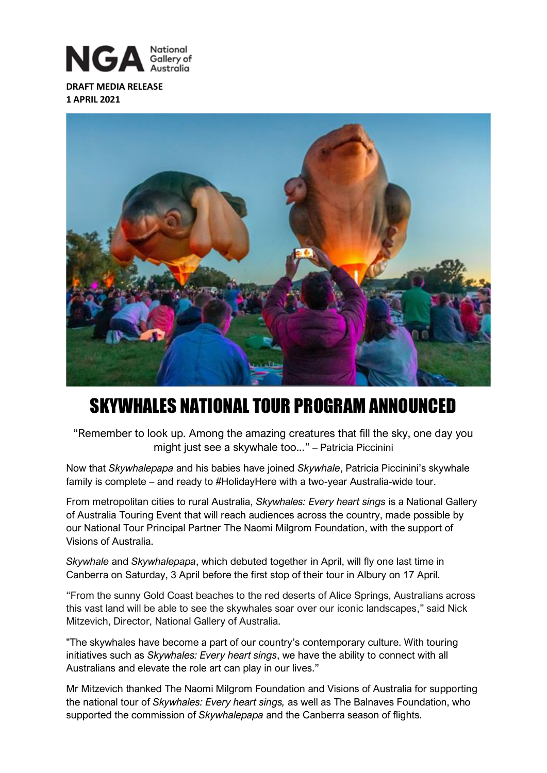

**DRAFT MEDIA RELEASE 1 APRIL 2021**



# SKYWHALES NATIONAL TOUR PROGRAM ANNOUNCED

"Remember to look up. Among the amazing creatures that fill the sky, one day you might just see a skywhale too..." – Patricia Piccinini

Now that *Skywhalepapa* and his babies have joined *Skywhale*, Patricia Piccinini's skywhale family is complete – and ready to #HolidayHere with a two-year Australia-wide tour.

From metropolitan cities to rural Australia, *Skywhales: Every heart sings* is a National Gallery of Australia Touring Event that will reach audiences across the country, made possible by our National Tour Principal Partner The Naomi Milgrom Foundation, with the support of Visions of Australia.

*Skywhale* and *Skywhalepapa*, which debuted together in April, will fly one last time in Canberra on Saturday, 3 April before the first stop of their tour in Albury on 17 April.

"From the sunny Gold Coast beaches to the red deserts of Alice Springs, Australians across this vast land will be able to see the skywhales soar over our iconic landscapes," said Nick Mitzevich, Director, National Gallery of Australia.

"The skywhales have become a part of our country's contemporary culture. With touring initiatives such as *Skywhales: Every heart sings*, we have the ability to connect with all Australians and elevate the role art can play in our lives."

Mr Mitzevich thanked The Naomi Milgrom Foundation and Visions of Australia for supporting the national tour of *Skywhales: Every heart sings,* as well as The Balnaves Foundation, who supported the commission of *Skywhalepapa* and the Canberra season of flights.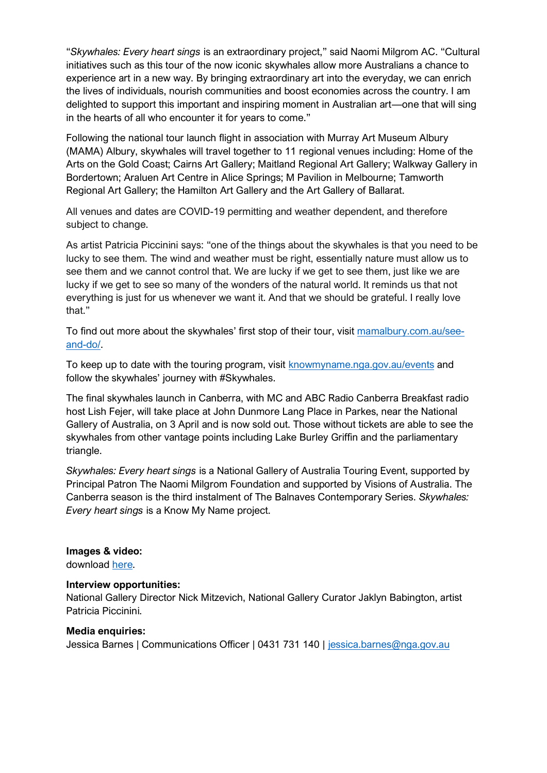"*Skywhales: Every heart sings* is an extraordinary project," said Naomi Milgrom AC. "Cultural initiatives such as this tour of the now iconic skywhales allow more Australians a chance to experience art in a new way. By bringing extraordinary art into the everyday, we can enrich the lives of individuals, nourish communities and boost economies across the country. I am delighted to support this important and inspiring moment in Australian art—one that will sing in the hearts of all who encounter it for years to come."

Following the national tour launch flight in association with Murray Art Museum Albury (MAMA) Albury, skywhales will travel together to 11 regional venues including: Home of the Arts on the Gold Coast; Cairns Art Gallery; Maitland Regional Art Gallery; Walkway Gallery in Bordertown; Araluen Art Centre in Alice Springs; M Pavilion in Melbourne; Tamworth Regional Art Gallery; the Hamilton Art Gallery and the Art Gallery of Ballarat.

All venues and dates are COVID-19 permitting and weather dependent, and therefore subject to change.

As artist Patricia Piccinini says: "one of the things about the skywhales is that you need to be lucky to see them. The wind and weather must be right, essentially nature must allow us to see them and we cannot control that. We are lucky if we get to see them, just like we are lucky if we get to see so many of the wonders of the natural world. It reminds us that not everything is just for us whenever we want it. And that we should be grateful. I really love that."

To find out more about the skywhales' first stop of their tour, visit [mamalbury.com.au/see](https://www.mamalbury.com.au/see-and-do/programs-and-events/events-@-mama/skywhales-at-sunrise)[and-do/.](https://www.mamalbury.com.au/see-and-do/programs-and-events/events-@-mama/skywhales-at-sunrise)

To keep up to date with the touring program, visit [knowmyname.nga.gov.a](https://knowmyname.nga.gov.au/events/skywhales-every-heart-sings-project/)u/events and follow the skywhales' journey with #Skywhales.

The final skywhales launch in Canberra, with MC and ABC Radio Canberra Breakfast radio host Lish Fejer, will take place at John Dunmore Lang Place in Parkes, near the National Gallery of Australia, on 3 April and is now sold out. Those without tickets are able to see the skywhales from other vantage points including Lake Burley Griffin and the parliamentary triangle.

*Skywhales: Every heart sings* is a National Gallery of Australia Touring Event, supported by Principal Patron The Naomi Milgrom Foundation and supported by Visions of Australia. The Canberra season is the third instalment of The Balnaves Contemporary Series. *Skywhales: Every heart sings* is a Know My Name project.

### **Images & video:**

download [here.](https://nga.gov.au/aboutus/mediacentre/skywhale/default.cfm)

#### **Interview opportunities:**

National Gallery Director Nick Mitzevich, National Gallery Curator Jaklyn Babington, artist Patricia Piccinini.

#### **Media enquiries:**

Jessica Barnes | Communications Officer | 0431 731 140 | [jessica.barnes@nga.gov.au](mailto:jessica.barnes@nga.gov.au)